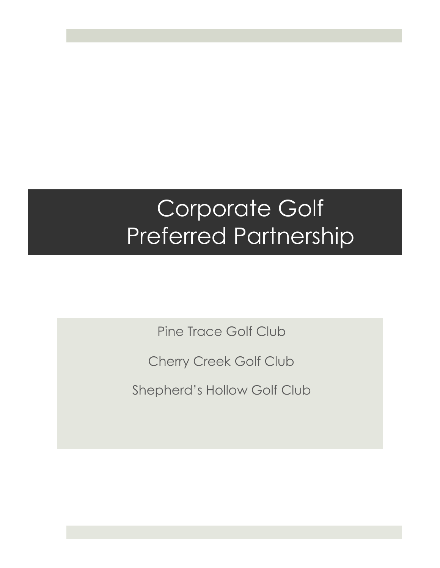### Corporate Golf Preferred Partnership

Pine Trace Golf Club

Cherry Creek Golf Club

Shepherd's Hollow Golf Club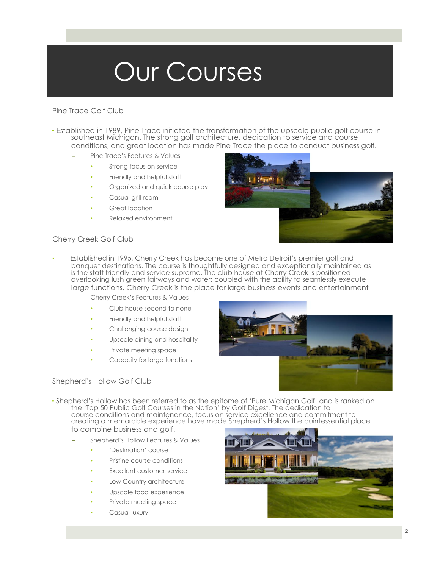### Our Courses

#### Pine Trace Golf Club

- Established in 1989, Pine Trace initiated the transformation of the upscale public golf course in southeast Michigan. The strong golf architecture, dedication to service and course conditions, and great location has made Pine Trace the place to conduct business golf.
	- Pine Trace's Features & Values
		- Strong focus on service
		- Friendly and helpful staff
		- Organized and quick course play
		- Casual grill room
		- Great location
		- Relaxed environment



#### Cherry Creek Golf Club

- Established in 1995, Cherry Creek has become one of Metro Detroit's premier golf and banquet destinations. The course is thoughtfully designed and exceptionally maintained as is the staff friendly and service supreme. The club house at Cherry Creek is positioned overlooking lush green fairways and water; coupled with the ability to seamlessly execute large functions, Cherry Creek is the place for large business events and entertainment
	- Cherry Creek's Features & Values
		- Club house second to none
		- Friendly and helpful staff
		- Challenging course design
		- Upscale dining and hospitality
		- Private meeting space
		- Capacity for large functions

#### Shepherd's Hollow Golf Club

- 
- Shepherd's Hollow has been referred to as the epitome of 'Pure Michigan Golf' and is ranked on the 'Top 50 Public Golf Courses in the Nation' by Golf Digest. The dedication to course conditions and maintenance, focus on service excellence and commitment to creating a memorable experience have made Shepherd's Hollow the quintessential place to combine business and golf.
	- Shepherd's Hollow Features & Values
		- 'Destination' course
		- Pristine course conditions
		- **Excellent customer service**
		- Low Country architecture
		- Upscale food experience
		- Private meeting space
		- Casual luxury

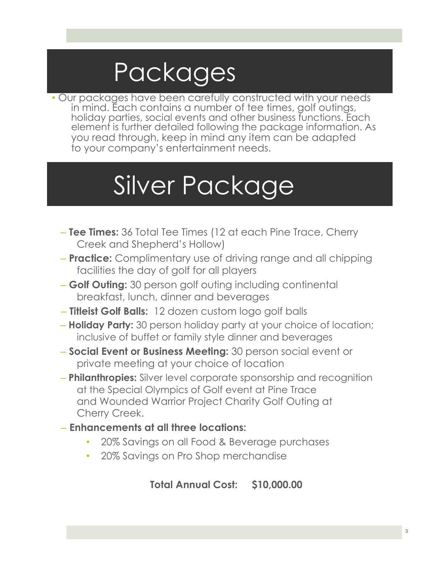## Packages

• Our packages have been carefully constructed with your needs in mind. Each contains a number of tee times, golf outings, holiday parties, social events and other business functions. Each element is further detailed following the package information. As you read through, keep in mind any item can be adapted to your company's entertainment needs.

## Silver Package

- **Tee Times:** 36 Total Tee Times (12 at each Pine Trace, Cherry Creek and Shepherd's Hollow)
- **Practice:** Complimentary use of driving range and all chipping facilities the day of golf for all players
- **Golf Outing:** 30 person golf outing including continental breakfast, lunch, dinner and beverages
- **Titleist Golf Balls:** 12 dozen custom logo golf balls
- **Holiday Party:** 30 person holiday party at your choice of location; inclusive of buffet or family style dinner and beverages
- **Social Event or Business Meeting:** 30 person social event or private meeting at your choice of location
- **Philanthropies:** Silver level corporate sponsorship and recognition at the Special Olympics of Golf event at Pine Trace and Wounded Warrior Project Charity Golf Outing at Cherry Creek.
- **Enhancements at all three locations:**
	- 20% Savings on all Food & Beverage purchases
	- 20% Savings on Pro Shop merchandise

**Total Annual Cost: \$10,000.00**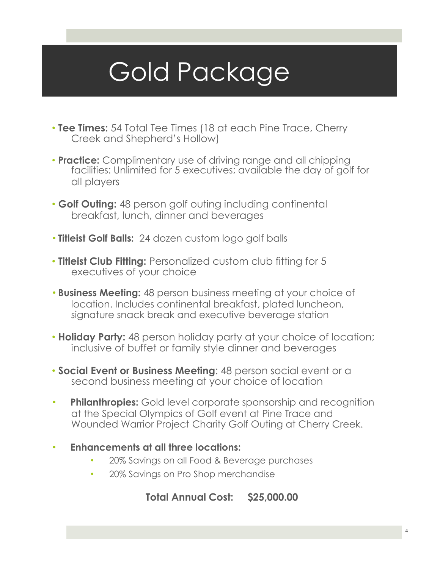# Gold Package

- **Tee Times:** 54 Total Tee Times (18 at each Pine Trace, Cherry Creek and Shepherd's Hollow)
- **Practice:** Complimentary use of driving range and all chipping facilities: Unlimited for 5 executives; available the day of golf for all players
- **Golf Outing:** 48 person golf outing including continental breakfast, lunch, dinner and beverages
- **Titleist Golf Balls:** 24 dozen custom logo golf balls
- **Titleist Club Fitting:** Personalized custom club fitting for 5 executives of your choice
- **Business Meeting:** 48 person business meeting at your choice of location. Includes continental breakfast, plated luncheon, signature snack break and executive beverage station
- **Holiday Party:** 48 person holiday party at your choice of location; inclusive of buffet or family style dinner and beverages
- **Social Event or Business Meeting**: 48 person social event or a second business meeting at your choice of location
- **Philanthropies:** Gold level corporate sponsorship and recognition at the Special Olympics of Golf event at Pine Trace and Wounded Warrior Project Charity Golf Outing at Cherry Creek.
- **Enhancements at all three locations:**
	- 20% Savings on all Food & Beverage purchases
	- 20% Savings on Pro Shop merchandise

#### **Total Annual Cost: \$25,000.00**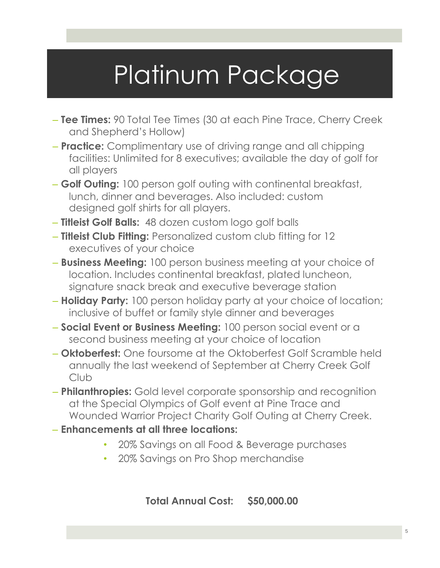## Platinum Package

- **Tee Times:** 90 Total Tee Times (30 at each Pine Trace, Cherry Creek and Shepherd's Hollow)
- **Practice:** Complimentary use of driving range and all chipping facilities: Unlimited for 8 executives; available the day of golf for all players
- **Golf Outing:** 100 person golf outing with continental breakfast, lunch, dinner and beverages. Also included: custom designed golf shirts for all players.
- **Titleist Golf Balls:** 48 dozen custom logo golf balls
- **Titleist Club Fitting:** Personalized custom club fitting for 12 executives of your choice
- **Business Meeting:** 100 person business meeting at your choice of location. Includes continental breakfast, plated luncheon, signature snack break and executive beverage station
- **Holiday Party:** 100 person holiday party at your choice of location; inclusive of buffet or family style dinner and beverages
- **Social Event or Business Meeting:** 100 person social event or a second business meeting at your choice of location
- **Oktoberfest:** One foursome at the Oktoberfest Golf Scramble held annually the last weekend of September at Cherry Creek Golf Club
- **Philanthropies:** Gold level corporate sponsorship and recognition at the Special Olympics of Golf event at Pine Trace and Wounded Warrior Project Charity Golf Outing at Cherry Creek.
- **Enhancements at all three locations:**
	- 20% Savings on all Food & Beverage purchases
	- 20% Savings on Pro Shop merchandise

**Total Annual Cost: \$50,000.00**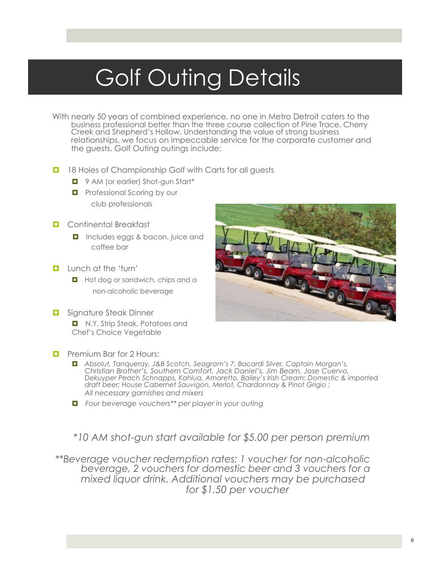### Golf Outing Details

- With nearly 50 years of combined experience, no one in Metro Detroit caters to the business professional better than the three course collection of Pine Trace, Cherry Creek and Shepherd's Hollow. Understanding the value of strong business relationships, we focus on impeccable service for the corporate customer and the guests. Golf Outing outings include:
- **1** 18 Holes of Championship Golf with Carts for all quests
	- **D** 9 AM (or earlier) Shot-gun Start\*
	- **Professional Scoring by our** club professionals
- **D** Continental Breakfast
	- **Includes eggs & bacon, juice and** coffee bar
- **Lunch at the 'turn'** 
	- **Hot dog or sandwich, chips and a** non-alcoholic beverage
- **D** Signature Steak Dinner
	- N.Y. Strip Steak, Potatoes and Chef's Choice Vegetable
- **D** Premium Bar for 2 Hours:
	- *Absolut, Tanqueray, J&B Scotch, Seagram's 7, Bacardi Silver, Captain Morgan's, Christian Brother's, Southern Comfort, Jack Daniel's, Jim Beam, Jose Cuervo, Dekuyper Peach Schnapps, Kahlua, Amaretto, Bailey's Irish Cream; Domestic & imported draft beer; House Cabernet Sauvigon, Merlot, Chardonnay & Pinot Grigio ; All necessary garnishes and mixers*
	- *Four beverage vouchers\*\* per player in your outing*

*\*10 AM shot-gun start available for \$5.00 per person premium*

*\*\*Beverage voucher redemption rates: 1 voucher for non-alcoholic beverage, 2 vouchers for domestic beer and 3 vouchers for a mixed liquor drink. Additional vouchers may be purchased for \$1.50 per voucher*

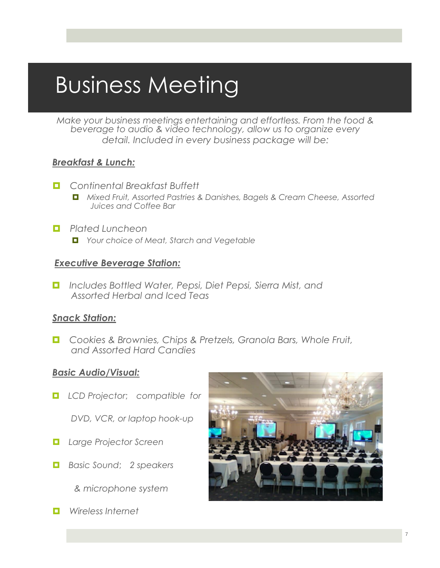### Business Meeting

*Make your business meetings entertaining and effortless. From the food & beverage to audio & video technology, allow us to organize every detail. Included in every business package will be:*

#### *Breakfast & Lunch:*

- *Continental Breakfast Buffett*
	- *Mixed Fruit, Assorted Pastries & Danishes, Bagels & Cream Cheese, Assorted Juices and Coffee Bar*
- *Plated Luncheon*
	- *Your choice of Meat, Starch and Vegetable*

#### *Executive Beverage Station:*

*Includes Bottled Water, Pepsi, Diet Pepsi, Sierra Mist, and Assorted Herbal and Iced Teas*

#### *Snack Station:*

*Cookies & Brownies, Chips & Pretzels, Granola Bars, Whole Fruit, and Assorted Hard Candies*

#### *Basic Audio/Visual:*

*LCD Projector*; *compatible for* 

*DVD, VCR, or laptop hook-up*

- *Large Projector Screen*
- *Basic Sound*; *2 speakers*

*& microphone system* 

*Wireless Internet*

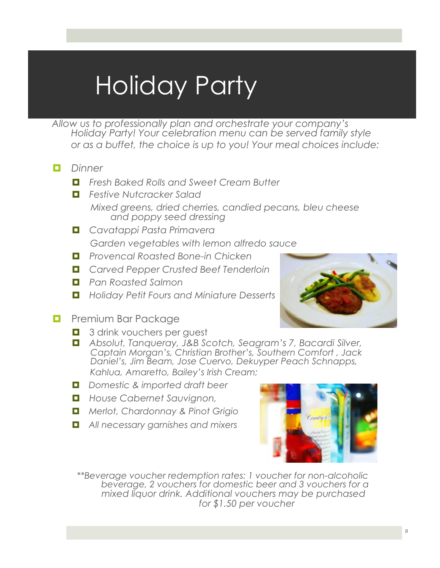# Holiday Party

*Allow us to professionally plan and orchestrate your company's Holiday Party! Your celebration menu can be served family style or as a buffet, the choice is up to you! Your meal choices include:*

- *Dinner*
	- *Fresh Baked Rolls and Sweet Cream Butter*
	- *Festive Nutcracker Salad Mixed greens, dried cherries, candied pecans, bleu cheese and poppy seed dressing*
	- *Cavatappi Pasta Primavera Garden vegetables with lemon alfredo sauce*
	- *Provencal Roasted Bone-in Chicken*
	- *Carved Pepper Crusted Beef Tenderloin*
	- *Pan Roasted Salmon*
	- *Holiday Petit Fours and Miniature Desserts*
- 
- **Premium Bar Package** 
	- **1** 3 drink vouchers per quest
	- *Absolut, Tanqueray, J&B Scotch, Seagram's 7, Bacardi Silver, Captain Morgan's, Christian Brother's, Southern Comfort , Jack Daniel's, Jim Beam, Jose Cuervo, Dekuyper Peach Schnapps, Kahlua, Amaretto, Bailey's Irish Cream;*
	- *Domestic & imported draft beer*
	- *House Cabernet Sauvignon,*
	- *Merlot, Chardonnay & Pinot Grigio*
	- *All necessary garnishes and mixers*



*\*\*Beverage voucher redemption rates: 1 voucher for non-alcoholic beverage, 2 vouchers for domestic beer and 3 vouchers for a mixed liquor drink. Additional vouchers may be purchased for \$1.50 per voucher*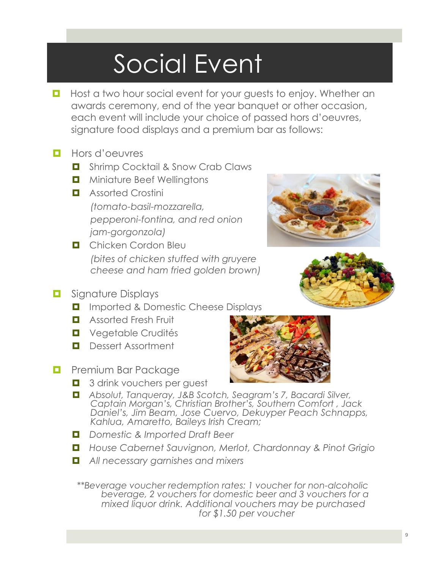# Social Event

- **Host a two hour social event for your guests to enjoy. Whether an** awards ceremony, end of the year banquet or other occasion, each event will include your choice of passed hors d'oeuvres, signature food displays and a premium bar as follows:
- **Hors d'oeuvres** 
	- **D** Shrimp Cocktail & Snow Crab Claws
	- **D** Miniature Beef Wellingtons
	- **E** Assorted Crostini *(tomato-basil-mozzarella, pepperoni-fontina, and red onion jam-gorgonzola)*
	- **D** Chicken Cordon Bleu *(bites of chicken stuffed with gruyere cheese and ham fried golden brown)*
- **<u>B</u>** Signature Displays
	- **I** Imported & Domestic Cheese Displays
	- **Assorted Fresh Fruit**
	- **D** Vegetable Crudités
	- **Dessert Assortment**
- **Premium Bar Package** 
	- **1** 3 drink vouchers per quest
	- *Absolut, Tanqueray, J&B Scotch, Seagram's 7, Bacardi Silver, Captain Morgan's, Christian Brother's, Southern Comfort , Jack Daniel's, Jim Beam, Jose Cuervo, Dekuyper Peach Schnapps, Kahlua, Amaretto, Baileys Irish Cream;*
	- *Domestic & Imported Draft Beer*
	- *House Cabernet Sauvignon, Merlot, Chardonnay & Pinot Grigio*
	- *All necessary garnishes and mixers*

*\*\*Beverage voucher redemption rates: 1 voucher for non-alcoholic beverage, 2 vouchers for domestic beer and 3 vouchers for a mixed liquor drink. Additional vouchers may be purchased for \$1.50 per voucher*





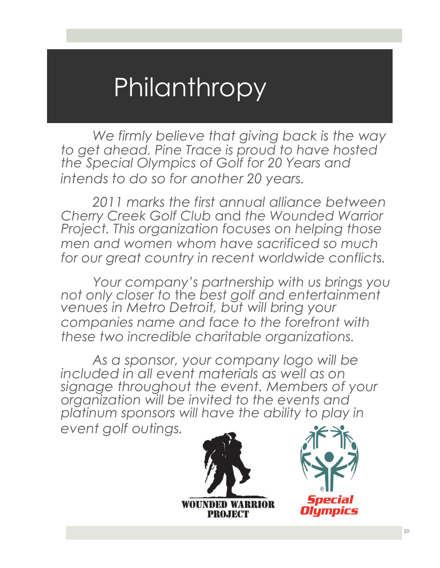### **Philanthropy**

*We firmly believe that giving back is the way to get ahead. Pine Trace is proud to have hosted the Special Olympics of Golf for 20 Years and intends to do so for another 20 years.*

*2011 marks the first annual alliance between Cherry Creek Golf Club* and *the Wounded Warrior Project. This organization focuses on helping those men and women whom have sacrificed so much for our great country in recent worldwide conflicts.*

*Your company's partnership with us brings you not only closer to* the *best golf and entertainment venues in Metro Detroit, but will bring your companies name and face to the forefront with these two incredible charitable organizations.*

*As a sponsor, your company logo will be included in all event materials as well as on signage throughout the event. Members of your organization will be invited to the events and platinum sponsors will have the ability to play in event golf outings.*

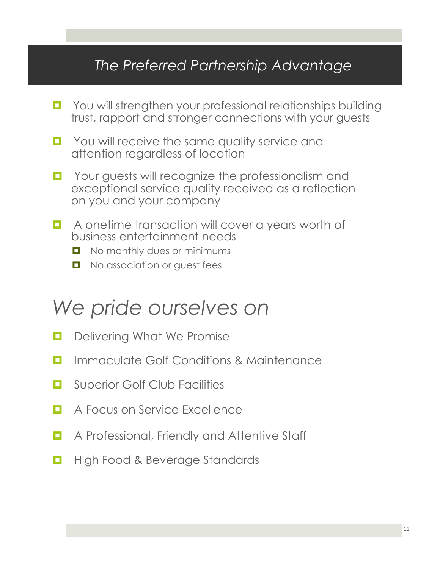### *The Preferred Partnership Advantage*

- **D** You will strengthen your professional relationships building trust, rapport and stronger connections with your guests
- **D** You will receive the same quality service and attention regardless of location
- **D** Your guests will recognize the professionalism and exceptional service quality received as a reflection on you and your company
- **A** onetime transaction will cover a years worth of business entertainment needs
	- No monthly dues or minimums
	- **No association or quest fees**

### *We pride ourselves on*

- **D** Delivering What We Promise
- **<u><b>E**</u> Immaculate Golf Conditions & Maintenance
- **D** Superior Golf Club Facilities
- **E** A Focus on Service Excellence
- **A** Professional, Friendly and Attentive Staff
- **High Food & Beverage Standards**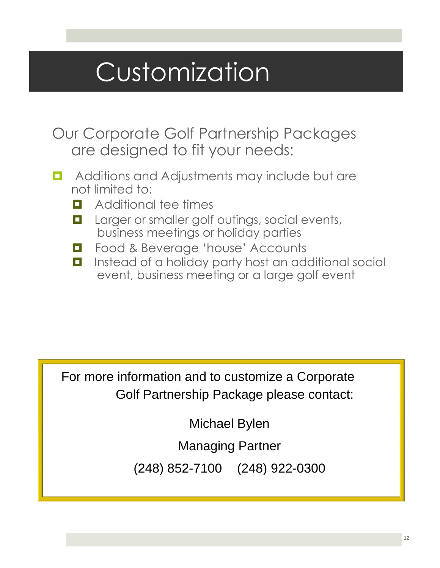## Customization

- Our Corporate Golf Partnership Packages are designed to fit your needs:
- **D** Additions and Adjustments may include but are not limited to:
	- **D** Additional tee times
	- **Larger or smaller golf outings, social events,** business meetings or holiday parties
	- **E** Food & Beverage 'house' Accounts
	- **Instead of a holiday party host an additional social** event, business meeting or a large golf event

For more information and to customize a Corporate Golf Partnership Package please contact:

Michael Bylen

Managing Partner

(248) 852-7100 (248) 922-0300